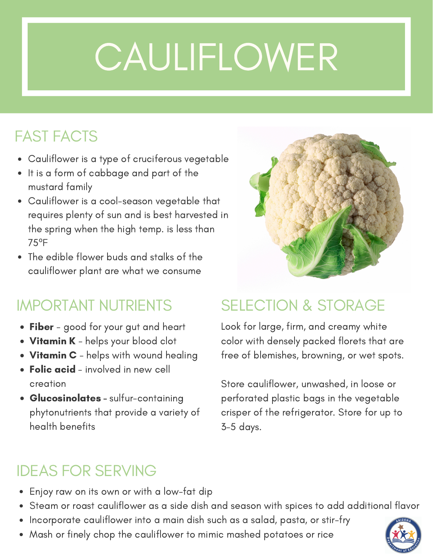# **CAULIFLOWER**

## FAST FACTS

- Cauliflower is a type of cruciferous vegetable
- It is a form of cabbage and part of the mustard family
- Cauliflower is a cool-season vegetable that requires plenty of sun and is best harvested in the spring when the high temp. is less than 75ºF
- The edible flower buds and stalks of the cauliflower plant are what we consume

- Fiber good for your gut and heart
- Vitamin K helps your blood clot
- $\bullet$  Vitamin C helps with wound healing
- Folic acid involved in new cell creation
- **Glucosinolates sulfur-containing** phytonutrients that provide a variety of health benefits

### IMPORTANT NUTRIENTS SELECTION & STORAGE

Look for large, firm, and creamy white color with densely packed florets that are free of blemishes, browning, or wet spots.

Store cauliflower, unwashed, in loose or perforated plastic bags in the vegetable crisper of the refrigerator. Store for up to 3-5 days.

## IDEAS FOR SERVING

- Enjoy raw on its own or with a low-fat dip
- Steam or roast cauliflower as a side dish and season with spices to add additional flavor
- Incorporate cauliflower into a main dish such as a salad, pasta, or stir-fry
- Mash or finely chop the cauliflower to mimic mashed potatoes or rice